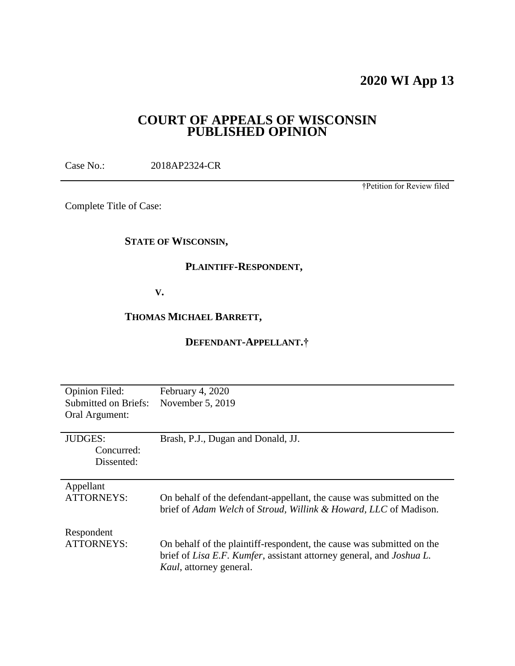# **2020 WI App 13**

# **COURT OF APPEALS OF WISCONSIN PUBLISHED OPINION**

Case No.: 2018AP2324-CR

†Petition for Review filed

Complete Title of Case:

# **STATE OF WISCONSIN,**

# **PLAINTIFF-RESPONDENT,**

# **V.**

# **THOMAS MICHAEL BARRETT,**

# **DEFENDANT-APPELLANT.†**

| <b>Opinion Filed:</b><br><b>Submitted on Briefs:</b><br>Oral Argument: | February 4, 2020<br>November 5, 2019                                                                                                                                                            |
|------------------------------------------------------------------------|-------------------------------------------------------------------------------------------------------------------------------------------------------------------------------------------------|
| <b>JUDGES:</b><br>Concurred:<br>Dissented:                             | Brash, P.J., Dugan and Donald, JJ.                                                                                                                                                              |
| Appellant<br><b>ATTORNEYS:</b>                                         | On behalf of the defendant-appellant, the cause was submitted on the<br>brief of Adam Welch of Stroud, Willink & Howard, LLC of Madison.                                                        |
| Respondent<br><b>ATTORNEYS:</b>                                        | On behalf of the plaintiff-respondent, the cause was submitted on the<br>brief of <i>Lisa E.F. Kumfer</i> , assistant attorney general, and <i>Joshua L.</i><br><i>Kaul</i> , attorney general. |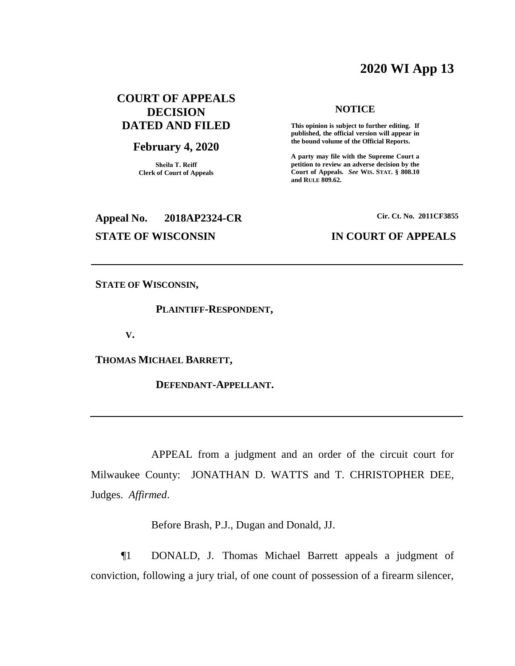# **2020 WI App 13**

# **COURT OF APPEALS DECISION DATED AND FILED**

#### **February 4, 2020**

**Sheila T. Reiff Clerk of Court of Appeals**

# **Appeal No. 2018AP2324-CR Cir. Ct. No. 2011CF3855**

#### **NOTICE**

**This opinion is subject to further editing. If published, the official version will appear in the bound volume of the Official Reports.** 

**A party may file with the Supreme Court a petition to review an adverse decision by the Court of Appeals.** *See* **WIS. STAT. § 808.10 and RULE 809.62.** 

# **STATE OF WISCONSIN IN COURT OF APPEALS**

**STATE OF WISCONSIN,**

#### **PLAINTIFF-RESPONDENT,**

**V.**

**THOMAS MICHAEL BARRETT,**

**DEFENDANT-APPELLANT.**

APPEAL from a judgment and an order of the circuit court for Milwaukee County: JONATHAN D. WATTS and T. CHRISTOPHER DEE, Judges. *Affirmed*.

Before Brash, P.J., Dugan and Donald, JJ.

¶1 DONALD, J. Thomas Michael Barrett appeals a judgment of conviction, following a jury trial, of one count of possession of a firearm silencer,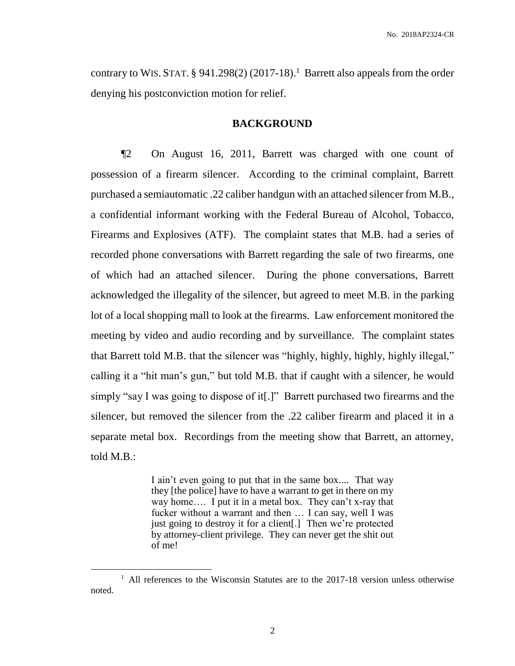contrary to WIS. STAT.  $\S$  941.298(2) (2017-18).<sup>1</sup> Barrett also appeals from the order denying his postconviction motion for relief.

## **BACKGROUND**

¶2 On August 16, 2011, Barrett was charged with one count of possession of a firearm silencer. According to the criminal complaint, Barrett purchased a semiautomatic .22 caliber handgun with an attached silencer from M.B., a confidential informant working with the Federal Bureau of Alcohol, Tobacco, Firearms and Explosives (ATF). The complaint states that M.B. had a series of recorded phone conversations with Barrett regarding the sale of two firearms, one of which had an attached silencer. During the phone conversations, Barrett acknowledged the illegality of the silencer, but agreed to meet M.B. in the parking lot of a local shopping mall to look at the firearms. Law enforcement monitored the meeting by video and audio recording and by surveillance. The complaint states that Barrett told M.B. that the silencer was "highly, highly, highly, highly illegal," calling it a "hit man's gun," but told M.B. that if caught with a silencer, he would simply "say I was going to dispose of it[.]" Barrett purchased two firearms and the silencer, but removed the silencer from the .22 caliber firearm and placed it in a separate metal box. Recordings from the meeting show that Barrett, an attorney, told M.B.:

> I ain't even going to put that in the same box.... That way they [the police] have to have a warrant to get in there on my way home…. I put it in a metal box. They can't x-ray that fucker without a warrant and then … I can say, well I was just going to destroy it for a client[.] Then we're protected by attorney-client privilege. They can never get the shit out of me!

 $\overline{a}$ 

<sup>&</sup>lt;sup>1</sup> All references to the Wisconsin Statutes are to the 2017-18 version unless otherwise noted.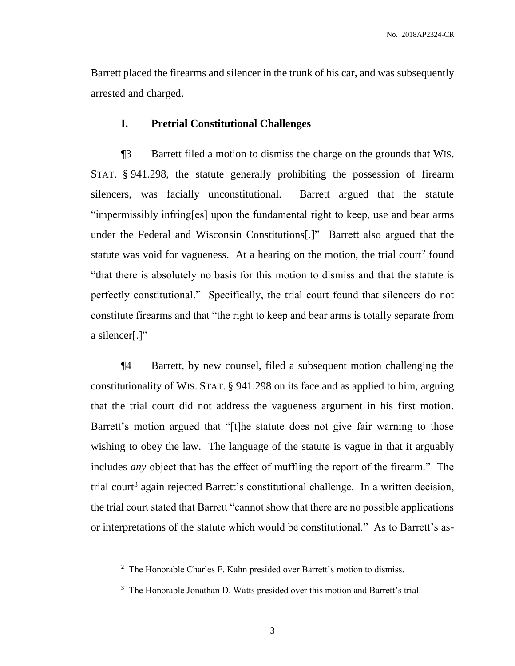Barrett placed the firearms and silencer in the trunk of his car, and was subsequently arrested and charged.

# **I. Pretrial Constitutional Challenges**

¶3 Barrett filed a motion to dismiss the charge on the grounds that WIS. STAT. § 941.298, the statute generally prohibiting the possession of firearm silencers, was facially unconstitutional. Barrett argued that the statute "impermissibly infring[es] upon the fundamental right to keep, use and bear arms under the Federal and Wisconsin Constitutions[.]" Barrett also argued that the statute was void for vagueness. At a hearing on the motion, the trial court<sup>2</sup> found "that there is absolutely no basis for this motion to dismiss and that the statute is perfectly constitutional." Specifically, the trial court found that silencers do not constitute firearms and that "the right to keep and bear arms is totally separate from a silencer[.]"

¶4 Barrett, by new counsel, filed a subsequent motion challenging the constitutionality of WIS. STAT. § 941.298 on its face and as applied to him, arguing that the trial court did not address the vagueness argument in his first motion. Barrett's motion argued that "[t]he statute does not give fair warning to those wishing to obey the law. The language of the statute is vague in that it arguably includes *any* object that has the effect of muffling the report of the firearm." The trial court<sup>3</sup> again rejected Barrett's constitutional challenge. In a written decision, the trial court stated that Barrett "cannot show that there are no possible applications or interpretations of the statute which would be constitutional." As to Barrett's as-

 $\overline{a}$ 

<sup>&</sup>lt;sup>2</sup> The Honorable Charles F. Kahn presided over Barrett's motion to dismiss.

<sup>&</sup>lt;sup>3</sup> The Honorable Jonathan D. Watts presided over this motion and Barrett's trial.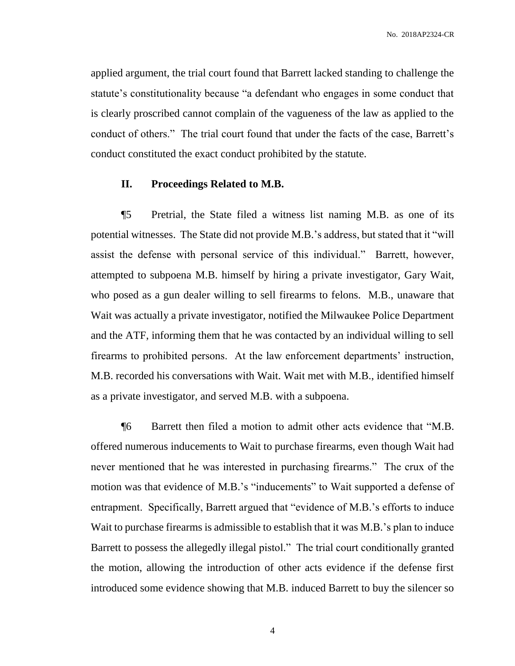applied argument, the trial court found that Barrett lacked standing to challenge the statute's constitutionality because "a defendant who engages in some conduct that is clearly proscribed cannot complain of the vagueness of the law as applied to the conduct of others." The trial court found that under the facts of the case, Barrett's conduct constituted the exact conduct prohibited by the statute.

#### **II. Proceedings Related to M.B.**

¶5 Pretrial, the State filed a witness list naming M.B. as one of its potential witnesses. The State did not provide M.B.'s address, but stated that it "will assist the defense with personal service of this individual." Barrett, however, attempted to subpoena M.B. himself by hiring a private investigator, Gary Wait, who posed as a gun dealer willing to sell firearms to felons. M.B., unaware that Wait was actually a private investigator, notified the Milwaukee Police Department and the ATF, informing them that he was contacted by an individual willing to sell firearms to prohibited persons. At the law enforcement departments' instruction, M.B. recorded his conversations with Wait. Wait met with M.B., identified himself as a private investigator, and served M.B. with a subpoena.

¶6 Barrett then filed a motion to admit other acts evidence that "M.B. offered numerous inducements to Wait to purchase firearms, even though Wait had never mentioned that he was interested in purchasing firearms." The crux of the motion was that evidence of M.B.'s "inducements" to Wait supported a defense of entrapment. Specifically, Barrett argued that "evidence of M.B.'s efforts to induce Wait to purchase firearms is admissible to establish that it was M.B.'s plan to induce Barrett to possess the allegedly illegal pistol." The trial court conditionally granted the motion, allowing the introduction of other acts evidence if the defense first introduced some evidence showing that M.B. induced Barrett to buy the silencer so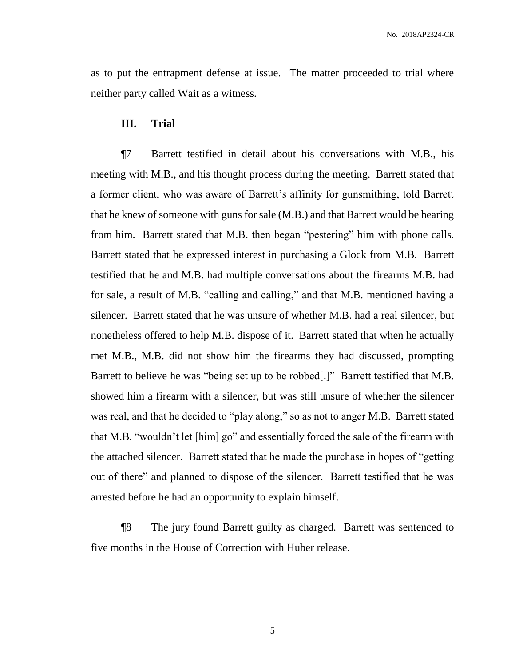as to put the entrapment defense at issue. The matter proceeded to trial where neither party called Wait as a witness.

#### **III. Trial**

¶7 Barrett testified in detail about his conversations with M.B., his meeting with M.B., and his thought process during the meeting. Barrett stated that a former client, who was aware of Barrett's affinity for gunsmithing, told Barrett that he knew of someone with guns for sale (M.B.) and that Barrett would be hearing from him. Barrett stated that M.B. then began "pestering" him with phone calls. Barrett stated that he expressed interest in purchasing a Glock from M.B. Barrett testified that he and M.B. had multiple conversations about the firearms M.B. had for sale, a result of M.B. "calling and calling," and that M.B. mentioned having a silencer. Barrett stated that he was unsure of whether M.B. had a real silencer, but nonetheless offered to help M.B. dispose of it. Barrett stated that when he actually met M.B., M.B. did not show him the firearms they had discussed, prompting Barrett to believe he was "being set up to be robbed[.]" Barrett testified that M.B. showed him a firearm with a silencer, but was still unsure of whether the silencer was real, and that he decided to "play along," so as not to anger M.B. Barrett stated that M.B. "wouldn't let [him] go" and essentially forced the sale of the firearm with the attached silencer. Barrett stated that he made the purchase in hopes of "getting out of there" and planned to dispose of the silencer. Barrett testified that he was arrested before he had an opportunity to explain himself.

¶8 The jury found Barrett guilty as charged. Barrett was sentenced to five months in the House of Correction with Huber release.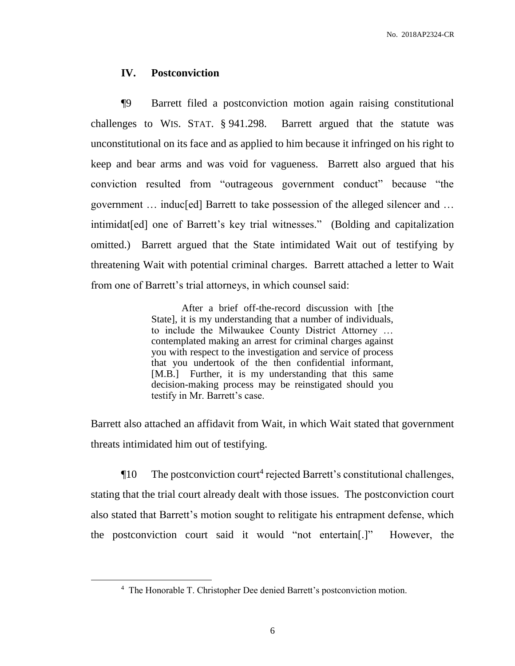#### **IV. Postconviction**

¶9 Barrett filed a postconviction motion again raising constitutional challenges to WIS. STAT. § 941.298. Barrett argued that the statute was unconstitutional on its face and as applied to him because it infringed on his right to keep and bear arms and was void for vagueness. Barrett also argued that his conviction resulted from "outrageous government conduct" because "the government … induc[ed] Barrett to take possession of the alleged silencer and … intimidat[ed] one of Barrett's key trial witnesses." (Bolding and capitalization omitted.) Barrett argued that the State intimidated Wait out of testifying by threatening Wait with potential criminal charges. Barrett attached a letter to Wait from one of Barrett's trial attorneys, in which counsel said:

> After a brief off-the-record discussion with [the State], it is my understanding that a number of individuals, to include the Milwaukee County District Attorney … contemplated making an arrest for criminal charges against you with respect to the investigation and service of process that you undertook of the then confidential informant, [M.B.] Further, it is my understanding that this same decision-making process may be reinstigated should you testify in Mr. Barrett's case.

Barrett also attached an affidavit from Wait, in which Wait stated that government threats intimidated him out of testifying.

The postconviction court<sup>4</sup> rejected Barrett's constitutional challenges, stating that the trial court already dealt with those issues. The postconviction court also stated that Barrett's motion sought to relitigate his entrapment defense, which the postconviction court said it would "not entertain[.]" However, the

 $\overline{a}$ 

<sup>4</sup> The Honorable T. Christopher Dee denied Barrett's postconviction motion.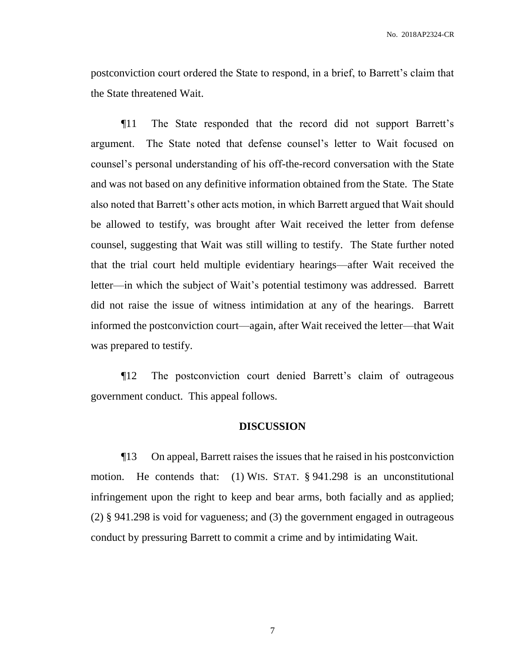postconviction court ordered the State to respond, in a brief, to Barrett's claim that the State threatened Wait.

¶11 The State responded that the record did not support Barrett's argument. The State noted that defense counsel's letter to Wait focused on counsel's personal understanding of his off-the-record conversation with the State and was not based on any definitive information obtained from the State. The State also noted that Barrett's other acts motion, in which Barrett argued that Wait should be allowed to testify, was brought after Wait received the letter from defense counsel, suggesting that Wait was still willing to testify. The State further noted that the trial court held multiple evidentiary hearings—after Wait received the letter—in which the subject of Wait's potential testimony was addressed. Barrett did not raise the issue of witness intimidation at any of the hearings. Barrett informed the postconviction court—again, after Wait received the letter—that Wait was prepared to testify.

¶12 The postconviction court denied Barrett's claim of outrageous government conduct. This appeal follows.

#### **DISCUSSION**

¶13 On appeal, Barrett raises the issues that he raised in his postconviction motion. He contends that: (1) WIS. STAT. § 941.298 is an unconstitutional infringement upon the right to keep and bear arms, both facially and as applied; (2) § 941.298 is void for vagueness; and (3) the government engaged in outrageous conduct by pressuring Barrett to commit a crime and by intimidating Wait.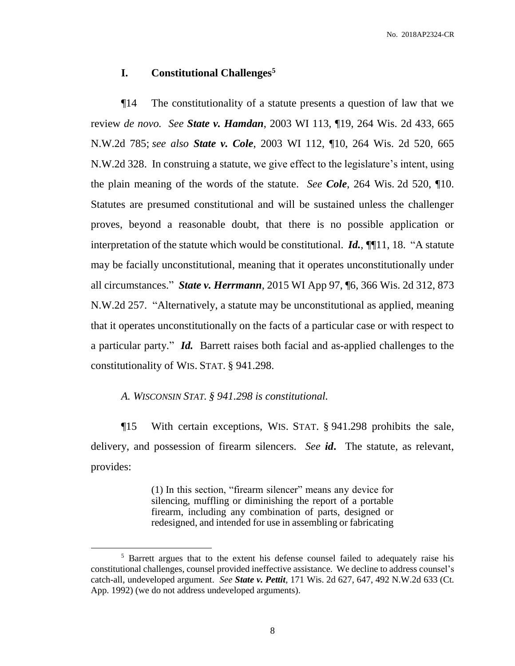# **I. Constitutional Challenges<sup>5</sup>**

¶14 The constitutionality of a statute presents a question of law that we review *de novo. See State v. Hamdan*, 2003 WI 113, ¶19, 264 Wis. 2d 433, 665 N.W.2d 785; *see also State v. Cole*, 2003 WI 112, ¶10, 264 Wis. 2d 520, 665 N.W.2d 328. In construing a statute, we give effect to the legislature's intent, using the plain meaning of the words of the statute. *See Cole*, 264 Wis. 2d 520, ¶10. Statutes are presumed constitutional and will be sustained unless the challenger proves, beyond a reasonable doubt, that there is no possible application or interpretation of the statute which would be constitutional. *Id.*, ¶¶11, 18. "A statute may be facially unconstitutional, meaning that it operates unconstitutionally under all circumstances." *State v. Herrmann*, 2015 WI App 97, ¶6, 366 Wis. 2d 312, 873 N.W.2d 257. "Alternatively, a statute may be unconstitutional as applied, meaning that it operates unconstitutionally on the facts of a particular case or with respect to a particular party." *Id.* Barrett raises both facial and as-applied challenges to the constitutionality of WIS. STAT. § 941.298.

# *A. WISCONSIN STAT. § 941.298 is constitutional.*

 $\overline{a}$ 

¶15 With certain exceptions, WIS. STAT. § 941.298 prohibits the sale, delivery, and possession of firearm silencers. *See id***.** The statute, as relevant, provides:

> (1) In this section, "firearm silencer" means any device for silencing, muffling or diminishing the report of a portable firearm, including any combination of parts, designed or redesigned, and intended for use in assembling or fabricating

<sup>&</sup>lt;sup>5</sup> Barrett argues that to the extent his defense counsel failed to adequately raise his constitutional challenges, counsel provided ineffective assistance. We decline to address counsel's catch-all, undeveloped argument. *See State v. Pettit*, 171 Wis. 2d 627, 647, 492 N.W.2d 633 (Ct. App. 1992) (we do not address undeveloped arguments).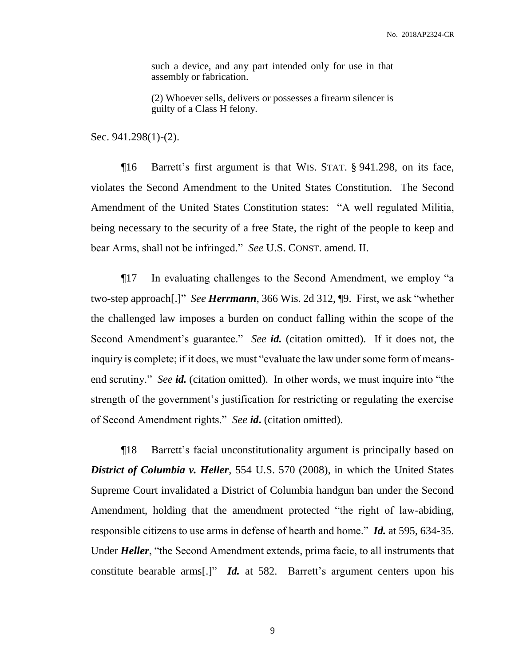such a device, and any part intended only for use in that assembly or fabrication.

(2) Whoever sells, delivers or possesses a firearm silencer is guilty of a Class H felony.

Sec. 941.298(1)-(2).

¶16 Barrett's first argument is that WIS. STAT. § 941.298, on its face, violates the Second Amendment to the United States Constitution. The Second Amendment of the United States Constitution states: "A well regulated Militia, being necessary to the security of a free State, the right of the people to keep and bear Arms, shall not be infringed." *See* U.S. CONST. amend. II.

¶17 In evaluating challenges to the Second Amendment, we employ "a two-step approach[.]" *See Herrmann*, 366 Wis. 2d 312, ¶9. First, we ask "whether the challenged law imposes a burden on conduct falling within the scope of the Second Amendment's guarantee." *See id.* (citation omitted). If it does not, the inquiry is complete; if it does, we must "evaluate the law under some form of meansend scrutiny." *See id.* (citation omitted). In other words, we must inquire into "the strength of the government's justification for restricting or regulating the exercise of Second Amendment rights." *See id***.** (citation omitted).

¶18 Barrett's facial unconstitutionality argument is principally based on *District of Columbia v. Heller*, 554 U.S. 570 (2008), in which the United States Supreme Court invalidated a District of Columbia handgun ban under the Second Amendment, holding that the amendment protected "the right of law-abiding, responsible citizens to use arms in defense of hearth and home." *Id.* at 595, 634-35. Under *Heller*, "the Second Amendment extends, prima facie, to all instruments that constitute bearable arms[.]" *Id.* at 582. Barrett's argument centers upon his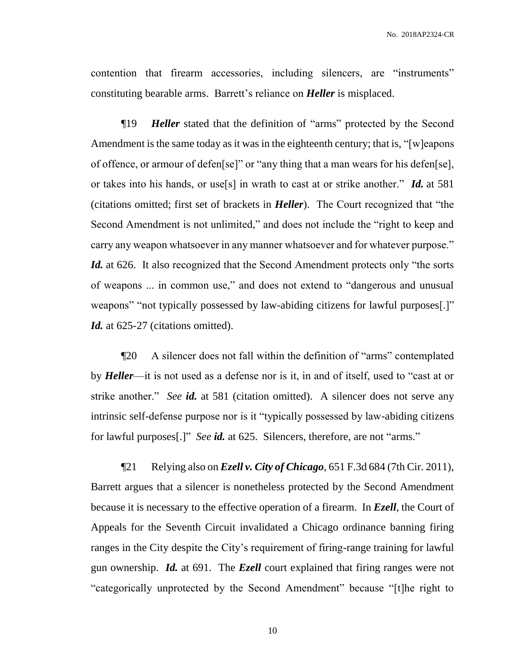contention that firearm accessories, including silencers, are "instruments" constituting bearable arms. Barrett's reliance on *Heller* is misplaced.

¶19 *Heller* stated that the definition of "arms" protected by the Second Amendment is the same today as it was in the eighteenth century; that is, "[w]eapons of offence, or armour of defen[se]" or "any thing that a man wears for his defen[se], or takes into his hands, or use[s] in wrath to cast at or strike another." *Id.* at 581 (citations omitted; first set of brackets in *Heller*). The Court recognized that "the Second Amendment is not unlimited," and does not include the "right to keep and carry any weapon whatsoever in any manner whatsoever and for whatever purpose." *Id.* at 626. It also recognized that the Second Amendment protects only "the sorts of weapons ... in common use," and does not extend to "dangerous and unusual weapons" "not typically possessed by law-abiding citizens for lawful purposes[.]" *Id.* at 625-27 (citations omitted).

¶20 A silencer does not fall within the definition of "arms" contemplated by *Heller*—it is not used as a defense nor is it, in and of itself, used to "cast at or strike another." *See id.* at 581 (citation omitted). A silencer does not serve any intrinsic self-defense purpose nor is it "typically possessed by law-abiding citizens for lawful purposes[.]" *See id.* at 625. Silencers, therefore, are not "arms."

¶21 Relying also on *Ezell v. City of Chicago*, 651 F.3d 684 (7th Cir. 2011), Barrett argues that a silencer is nonetheless protected by the Second Amendment because it is necessary to the effective operation of a firearm. In *Ezell*, the Court of Appeals for the Seventh Circuit invalidated a Chicago ordinance banning firing ranges in the City despite the City's requirement of firing-range training for lawful gun ownership. *Id.* at 691. The *Ezell* court explained that firing ranges were not "categorically unprotected by the Second Amendment" because "[t]he right to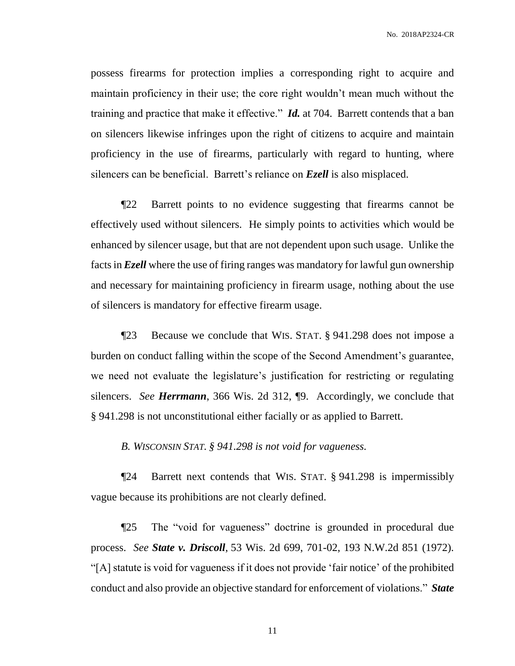possess firearms for protection implies a corresponding right to acquire and maintain proficiency in their use; the core right wouldn't mean much without the training and practice that make it effective." *Id.* at 704. Barrett contends that a ban on silencers likewise infringes upon the right of citizens to acquire and maintain proficiency in the use of firearms, particularly with regard to hunting, where silencers can be beneficial. Barrett's reliance on *Ezell* is also misplaced.

¶22 Barrett points to no evidence suggesting that firearms cannot be effectively used without silencers. He simply points to activities which would be enhanced by silencer usage, but that are not dependent upon such usage. Unlike the facts in *Ezell* where the use of firing ranges was mandatory for lawful gun ownership and necessary for maintaining proficiency in firearm usage, nothing about the use of silencers is mandatory for effective firearm usage.

¶23 Because we conclude that WIS. STAT. § 941.298 does not impose a burden on conduct falling within the scope of the Second Amendment's guarantee, we need not evaluate the legislature's justification for restricting or regulating silencers. *See Herrmann*, 366 Wis. 2d 312, ¶9. Accordingly, we conclude that § 941.298 is not unconstitutional either facially or as applied to Barrett.

*B. WISCONSIN STAT. § 941.298 is not void for vagueness.*

¶24 Barrett next contends that WIS. STAT. § 941.298 is impermissibly vague because its prohibitions are not clearly defined.

¶25 The "void for vagueness" doctrine is grounded in procedural due process. *See State v. Driscoll*, 53 Wis. 2d 699, 701-02, 193 N.W.2d 851 (1972). "[A] statute is void for vagueness if it does not provide 'fair notice' of the prohibited conduct and also provide an objective standard for enforcement of violations." *State*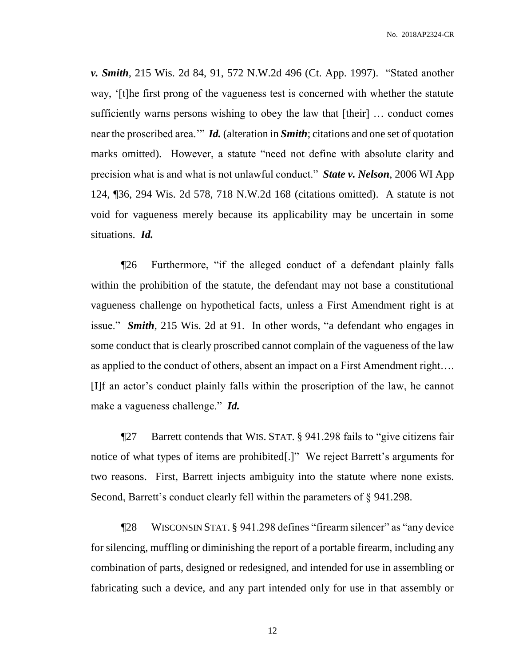*v. Smith*, 215 Wis. 2d 84, 91, 572 N.W.2d 496 (Ct. App. 1997). "Stated another way, '[t]he first prong of the vagueness test is concerned with whether the statute sufficiently warns persons wishing to obey the law that [their] … conduct comes near the proscribed area.'" *Id.* (alteration in *Smith*; citations and one set of quotation marks omitted). However, a statute "need not define with absolute clarity and precision what is and what is not unlawful conduct." *State v. Nelson*, 2006 WI App 124, ¶36, 294 Wis. 2d 578, 718 N.W.2d 168 (citations omitted). A statute is not void for vagueness merely because its applicability may be uncertain in some situations. *Id.*

¶26 Furthermore, "if the alleged conduct of a defendant plainly falls within the prohibition of the statute, the defendant may not base a constitutional vagueness challenge on hypothetical facts, unless a First Amendment right is at issue." *Smith*, 215 Wis. 2d at 91. In other words, "a defendant who engages in some conduct that is clearly proscribed cannot complain of the vagueness of the law as applied to the conduct of others, absent an impact on a First Amendment right…. [I]f an actor's conduct plainly falls within the proscription of the law, he cannot make a vagueness challenge." *Id.*

¶27 Barrett contends that WIS. STAT. § 941.298 fails to "give citizens fair notice of what types of items are prohibited[.]" We reject Barrett's arguments for two reasons. First, Barrett injects ambiguity into the statute where none exists. Second, Barrett's conduct clearly fell within the parameters of § 941.298.

¶28 WISCONSIN STAT. § 941.298 defines "firearm silencer" as "any device for silencing, muffling or diminishing the report of a portable firearm, including any combination of parts, designed or redesigned, and intended for use in assembling or fabricating such a device, and any part intended only for use in that assembly or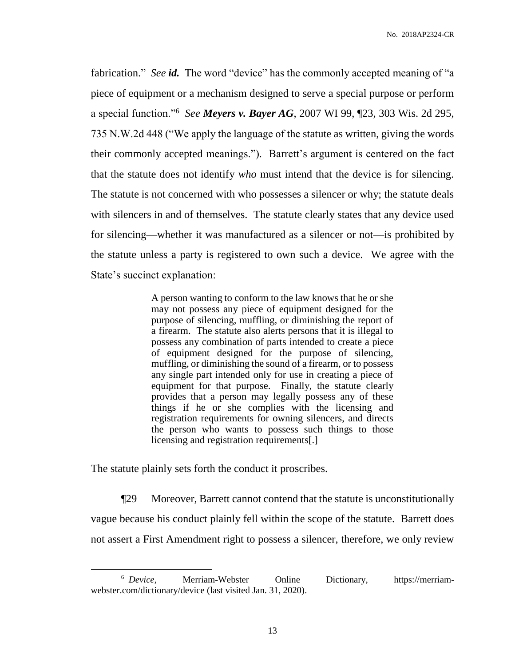fabrication." *See id.* The word "device" has the commonly accepted meaning of "a piece of equipment or a mechanism designed to serve a special purpose or perform a special function."<sup>6</sup> *See Meyers v. Bayer AG*, 2007 WI 99, ¶23, 303 Wis. 2d 295, 735 N.W.2d 448 ("We apply the language of the statute as written, giving the words their commonly accepted meanings."). Barrett's argument is centered on the fact that the statute does not identify *who* must intend that the device is for silencing. The statute is not concerned with who possesses a silencer or why; the statute deals with silencers in and of themselves. The statute clearly states that any device used for silencing—whether it was manufactured as a silencer or not—is prohibited by the statute unless a party is registered to own such a device. We agree with the State's succinct explanation:

> A person wanting to conform to the law knows that he or she may not possess any piece of equipment designed for the purpose of silencing, muffling, or diminishing the report of a firearm. The statute also alerts persons that it is illegal to possess any combination of parts intended to create a piece of equipment designed for the purpose of silencing, muffling, or diminishing the sound of a firearm, or to possess any single part intended only for use in creating a piece of equipment for that purpose. Finally, the statute clearly provides that a person may legally possess any of these things if he or she complies with the licensing and registration requirements for owning silencers, and directs the person who wants to possess such things to those licensing and registration requirements[.]

The statute plainly sets forth the conduct it proscribes.

 $\overline{a}$ 

¶29 Moreover, Barrett cannot contend that the statute is unconstitutionally vague because his conduct plainly fell within the scope of the statute. Barrett does not assert a First Amendment right to possess a silencer, therefore, we only review

<sup>&</sup>lt;sup>6</sup> Device, Merriam-Webster Online Dictionary, https://merriamwebster.com/dictionary/device (last visited Jan. 31, 2020).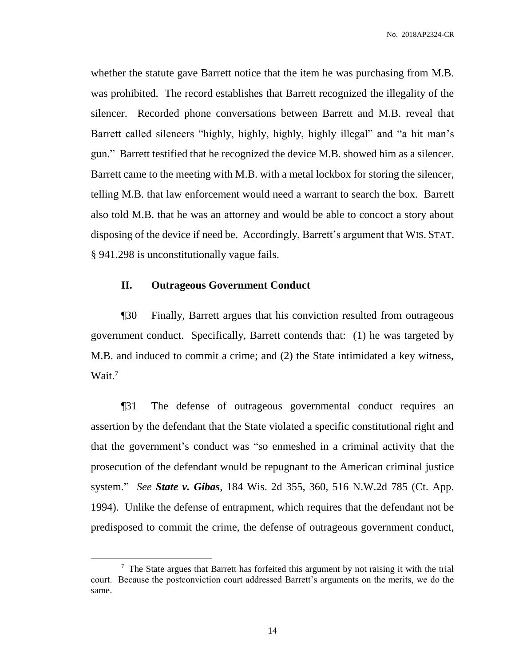whether the statute gave Barrett notice that the item he was purchasing from M.B. was prohibited. The record establishes that Barrett recognized the illegality of the silencer. Recorded phone conversations between Barrett and M.B. reveal that Barrett called silencers "highly, highly, highly, highly illegal" and "a hit man's gun." Barrett testified that he recognized the device M.B. showed him as a silencer. Barrett came to the meeting with M.B. with a metal lockbox for storing the silencer, telling M.B. that law enforcement would need a warrant to search the box. Barrett also told M.B. that he was an attorney and would be able to concoct a story about disposing of the device if need be. Accordingly, Barrett's argument that WIS. STAT. § 941.298 is unconstitutionally vague fails.

## **II. Outrageous Government Conduct**

 $\overline{a}$ 

¶30 Finally, Barrett argues that his conviction resulted from outrageous government conduct. Specifically, Barrett contends that: (1) he was targeted by M.B. and induced to commit a crime; and (2) the State intimidated a key witness, Wait.<sup>7</sup>

¶31 The defense of outrageous governmental conduct requires an assertion by the defendant that the State violated a specific constitutional right and that the government's conduct was "so enmeshed in a criminal activity that the prosecution of the defendant would be repugnant to the American criminal justice system." *See State v. Gibas*, 184 Wis. 2d 355, 360, 516 N.W.2d 785 (Ct. App. 1994). Unlike the defense of entrapment, which requires that the defendant not be predisposed to commit the crime, the defense of outrageous government conduct,

 $7$  The State argues that Barrett has forfeited this argument by not raising it with the trial court. Because the postconviction court addressed Barrett's arguments on the merits, we do the same.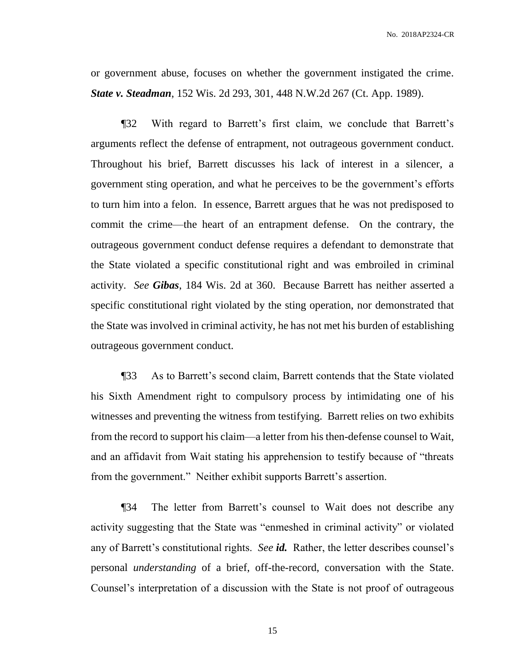or government abuse, focuses on whether the government instigated the crime. *State v. Steadman*, 152 Wis. 2d 293, 301, 448 N.W.2d 267 (Ct. App. 1989).

¶32 With regard to Barrett's first claim, we conclude that Barrett's arguments reflect the defense of entrapment, not outrageous government conduct. Throughout his brief, Barrett discusses his lack of interest in a silencer, a government sting operation, and what he perceives to be the government's efforts to turn him into a felon. In essence, Barrett argues that he was not predisposed to commit the crime—the heart of an entrapment defense. On the contrary, the outrageous government conduct defense requires a defendant to demonstrate that the State violated a specific constitutional right and was embroiled in criminal activity. *See Gibas*, 184 Wis. 2d at 360. Because Barrett has neither asserted a specific constitutional right violated by the sting operation, nor demonstrated that the State was involved in criminal activity, he has not met his burden of establishing outrageous government conduct.

¶33 As to Barrett's second claim, Barrett contends that the State violated his Sixth Amendment right to compulsory process by intimidating one of his witnesses and preventing the witness from testifying. Barrett relies on two exhibits from the record to support his claim—a letter from his then-defense counsel to Wait, and an affidavit from Wait stating his apprehension to testify because of "threats from the government." Neither exhibit supports Barrett's assertion.

¶34 The letter from Barrett's counsel to Wait does not describe any activity suggesting that the State was "enmeshed in criminal activity" or violated any of Barrett's constitutional rights. *See id.* Rather, the letter describes counsel's personal *understanding* of a brief, off-the-record, conversation with the State. Counsel's interpretation of a discussion with the State is not proof of outrageous